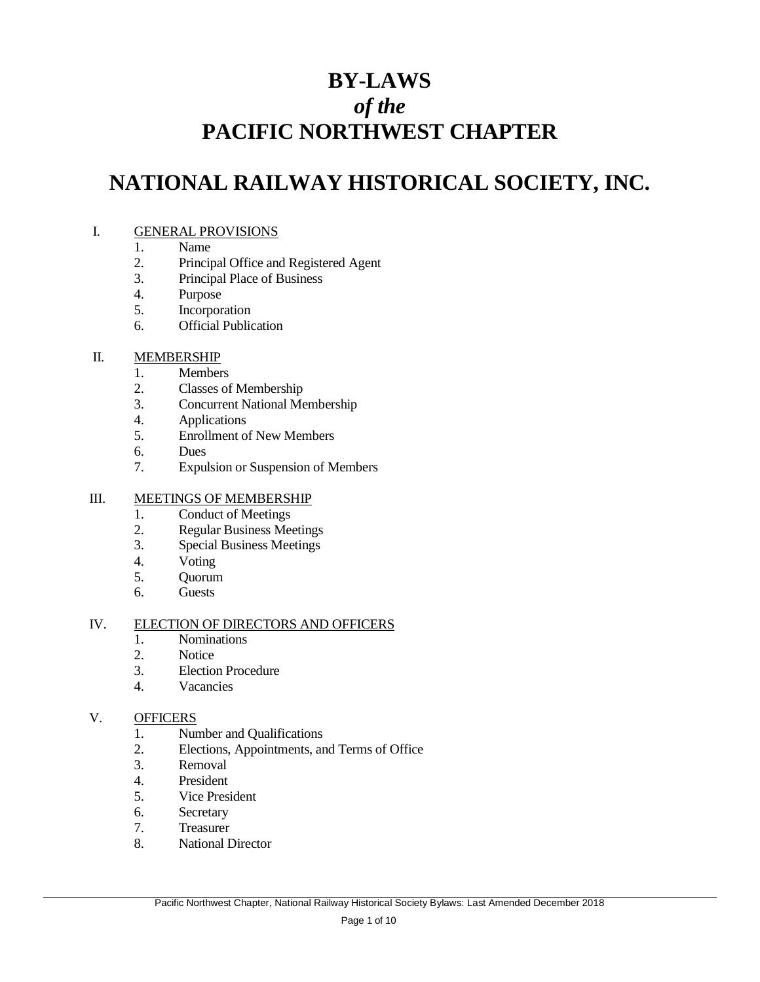# **BY-LAWS** *of the* **PACIFIC NORTHWEST CHAPTER**

# **NATIONAL RAILWAY HISTORICAL SOCIETY, INC.**

# I. GENERAL PROVISIONS

- 1. Name
- 2. Principal Office and Registered Agent
- 3. Principal Place of Business
- 4. Purpose
- 5. Incorporation
- 6. Official Publication

## II. MEMBERSHIP

- 1. Members
- 2. Classes of Membership
- 3. Concurrent National Membership
- 4. Applications
- 5. Enrollment of New Members
- 6. Dues
- 7. Expulsion or Suspension of Members

## III. MEETINGS OF MEMBERSHIP

- 1. Conduct of Meetings
- 2. Regular Business Meetings
- 3. Special Business Meetings
- 4. Voting
- 5. Quorum
- 6. Guests

## IV. ELECTION OF DIRECTORS AND OFFICERS

- 1. Nominations
- 2. Notice
- 3. Election Procedure
- 4. Vacancies

## V. OFFICERS

- 1. Number and Qualifications
- 2. Elections, Appointments, and Terms of Office
- 3. Removal
- 4. President
- 5. Vice President
- 6. Secretary
- 7. Treasurer
- 8. National Director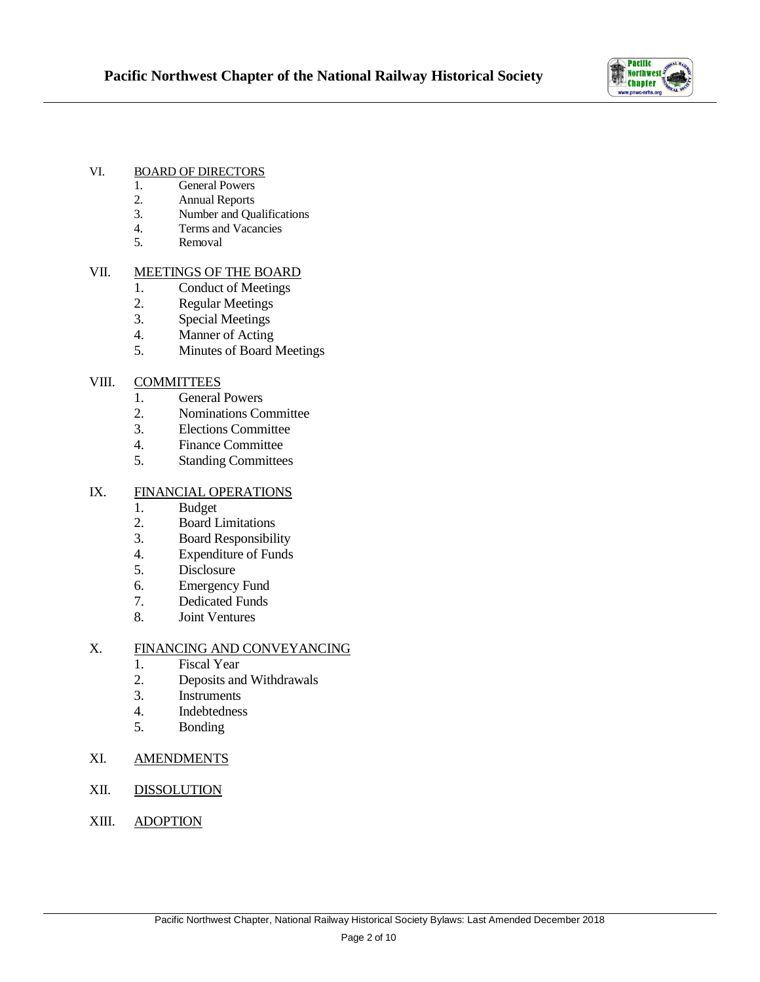

## VI. BOARD OF DIRECTORS

- 1. General Powers
- 2. Annual Reports<br>3. Number and Qua
- Number and Qualifications
- 4. Terms and Vacancies
- 5. Removal

## VII. MEETINGS OF THE BOARD

- 1. Conduct of Meetings
- 2. Regular Meetings
- 3. Special Meetings
- 4. Manner of Acting
- 5. Minutes of Board Meetings

## VIII. COMMITTEES

- 1. General Powers
- 2. Nominations Committee
- 3. Elections Committee
- 4. Finance Committee
- 5. Standing Committees

# IX. FINANCIAL OPERATIONS

- 1. Budget
- 2. Board Limitations
- 3. Board Responsibility
- 4. Expenditure of Funds
- 5. Disclosure
- 6. Emergency Fund
- 7. Dedicated Funds
- 8. Joint Ventures

# X. FINANCING AND CONVEYANCING

- 1. Fiscal Year
- 2. Deposits and Withdrawals<br>3. Instruments
- **Instruments**
- 4. Indebtedness
- 5. Bonding
- XI. AMENDMENTS
- XII. DISSOLUTION
- XIII. ADOPTION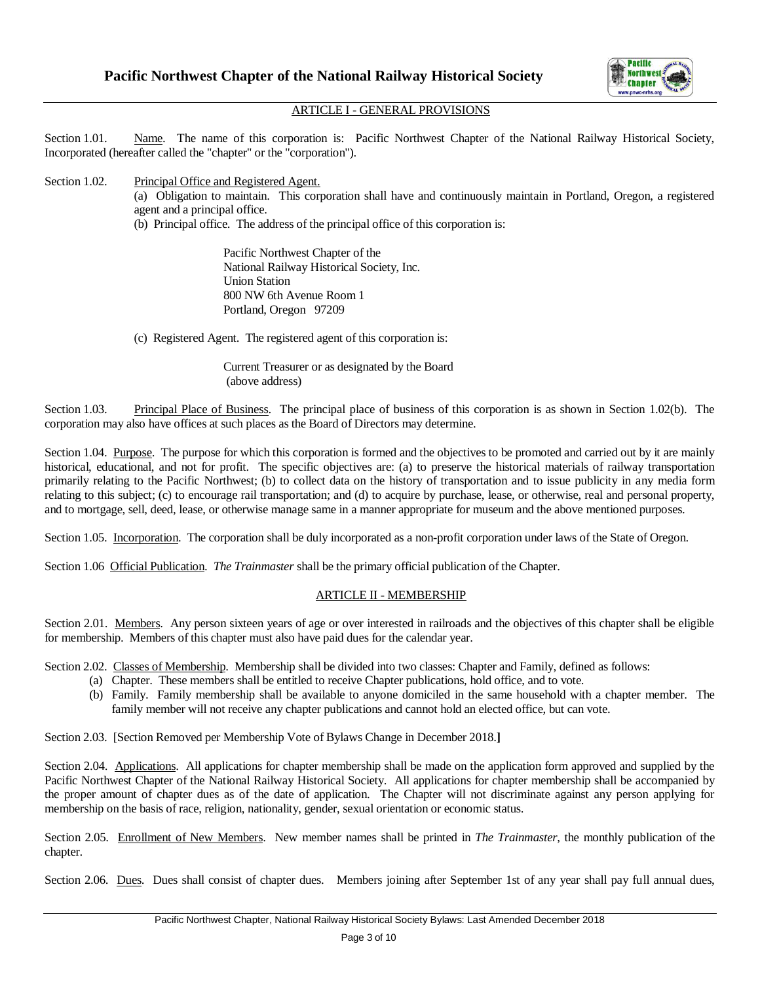

## ARTICLE I - GENERAL PROVISIONS

Section 1.01. Name. The name of this corporation is: Pacific Northwest Chapter of the National Railway Historical Society, Incorporated (hereafter called the "chapter" or the "corporation").

Section 1.02. Principal Office and Registered Agent. (a) Obligation to maintain. This corporation shall have and continuously maintain in Portland, Oregon, a registered agent and a principal office.

(b) Principal office. The address of the principal office of this corporation is:

Pacific Northwest Chapter of the National Railway Historical Society, Inc. Union Station 800 NW 6th Avenue Room 1 Portland, Oregon 97209

(c) Registered Agent. The registered agent of this corporation is:

Current Treasurer or as designated by the Board (above address)

Section 1.03. Principal Place of Business. The principal place of business of this corporation is as shown in Section 1.02(b). The corporation may also have offices at such places as the Board of Directors may determine.

Section 1.04. Purpose. The purpose for which this corporation is formed and the objectives to be promoted and carried out by it are mainly historical, educational, and not for profit. The specific objectives are: (a) to preserve the historical materials of railway transportation primarily relating to the Pacific Northwest; (b) to collect data on the history of transportation and to issue publicity in any media form relating to this subject; (c) to encourage rail transportation; and (d) to acquire by purchase, lease, or otherwise, real and personal property, and to mortgage, sell, deed, lease, or otherwise manage same in a manner appropriate for museum and the above mentioned purposes.

Section 1.05. Incorporation. The corporation shall be duly incorporated as a non-profit corporation under laws of the State of Oregon.

Section 1.06 Official Publication. *The Trainmaster* shall be the primary official publication of the Chapter.

## ARTICLE II - MEMBERSHIP

Section 2.01. Members. Any person sixteen years of age or over interested in railroads and the objectives of this chapter shall be eligible for membership. Members of this chapter must also have paid dues for the calendar year.

Section 2.02. Classes of Membership. Membership shall be divided into two classes: Chapter and Family, defined as follows:

- (a) Chapter. These members shall be entitled to receive Chapter publications, hold office, and to vote.
- (b) Family. Family membership shall be available to anyone domiciled in the same household with a chapter member. The family member will not receive any chapter publications and cannot hold an elected office, but can vote.

Section 2.03. [Section Removed per Membership Vote of Bylaws Change in December 2018.**]**

Section 2.04. Applications. All applications for chapter membership shall be made on the application form approved and supplied by the Pacific Northwest Chapter of the National Railway Historical Society. All applications for chapter membership shall be accompanied by the proper amount of chapter dues as of the date of application. The Chapter will not discriminate against any person applying for membership on the basis of race, religion, nationality, gender, sexual orientation or economic status.

Section 2.05. Enrollment of New Members. New member names shall be printed in *The Trainmaster*, the monthly publication of the chapter.

Section 2.06. Dues. Dues shall consist of chapter dues. Members joining after September 1st of any year shall pay full annual dues,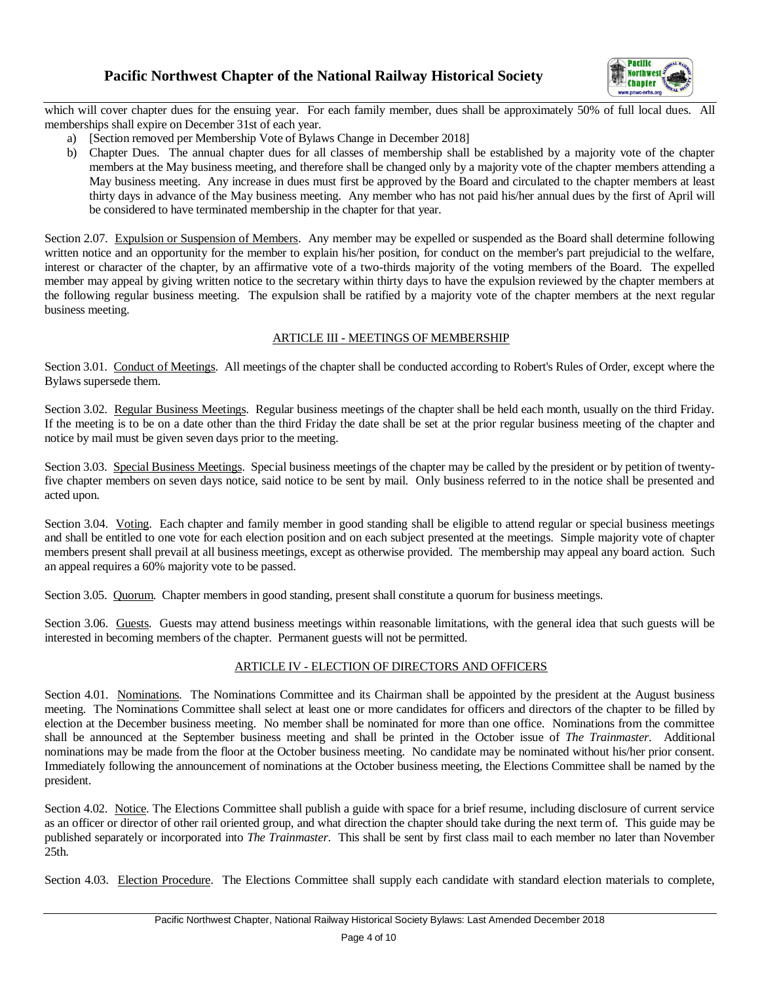

which will cover chapter dues for the ensuing year. For each family member, dues shall be approximately 50% of full local dues. All memberships shall expire on December 31st of each year.

- a) [Section removed per Membership Vote of Bylaws Change in December 2018]
- b) Chapter Dues. The annual chapter dues for all classes of membership shall be established by a majority vote of the chapter members at the May business meeting, and therefore shall be changed only by a majority vote of the chapter members attending a May business meeting. Any increase in dues must first be approved by the Board and circulated to the chapter members at least thirty days in advance of the May business meeting. Any member who has not paid his/her annual dues by the first of April will be considered to have terminated membership in the chapter for that year.

Section 2.07. Expulsion or Suspension of Members. Any member may be expelled or suspended as the Board shall determine following written notice and an opportunity for the member to explain his/her position, for conduct on the member's part prejudicial to the welfare, interest or character of the chapter, by an affirmative vote of a two-thirds majority of the voting members of the Board. The expelled member may appeal by giving written notice to the secretary within thirty days to have the expulsion reviewed by the chapter members at the following regular business meeting. The expulsion shall be ratified by a majority vote of the chapter members at the next regular business meeting.

## ARTICLE III - MEETINGS OF MEMBERSHIP

Section 3.01. Conduct of Meetings. All meetings of the chapter shall be conducted according to Robert's Rules of Order, except where the Bylaws supersede them.

Section 3.02. Regular Business Meetings. Regular business meetings of the chapter shall be held each month, usually on the third Friday. If the meeting is to be on a date other than the third Friday the date shall be set at the prior regular business meeting of the chapter and notice by mail must be given seven days prior to the meeting.

Section 3.03. Special Business Meetings. Special business meetings of the chapter may be called by the president or by petition of twentyfive chapter members on seven days notice, said notice to be sent by mail. Only business referred to in the notice shall be presented and acted upon.

Section 3.04. Voting. Each chapter and family member in good standing shall be eligible to attend regular or special business meetings and shall be entitled to one vote for each election position and on each subject presented at the meetings. Simple majority vote of chapter members present shall prevail at all business meetings, except as otherwise provided. The membership may appeal any board action. Such an appeal requires a 60% majority vote to be passed.

Section 3.05. Quorum. Chapter members in good standing, present shall constitute a quorum for business meetings.

Section 3.06. Guests. Guests may attend business meetings within reasonable limitations, with the general idea that such guests will be interested in becoming members of the chapter. Permanent guests will not be permitted.

## ARTICLE IV - ELECTION OF DIRECTORS AND OFFICERS

Section 4.01. Nominations. The Nominations Committee and its Chairman shall be appointed by the president at the August business meeting. The Nominations Committee shall select at least one or more candidates for officers and directors of the chapter to be filled by election at the December business meeting. No member shall be nominated for more than one office. Nominations from the committee shall be announced at the September business meeting and shall be printed in the October issue of *The Trainmaster*. Additional nominations may be made from the floor at the October business meeting. No candidate may be nominated without his/her prior consent. Immediately following the announcement of nominations at the October business meeting, the Elections Committee shall be named by the president.

Section 4.02. Notice. The Elections Committee shall publish a guide with space for a brief resume, including disclosure of current service as an officer or director of other rail oriented group, and what direction the chapter should take during the next term of. This guide may be published separately or incorporated into *The Trainmaster*. This shall be sent by first class mail to each member no later than November 25th.

Section 4.03. Election Procedure. The Elections Committee shall supply each candidate with standard election materials to complete,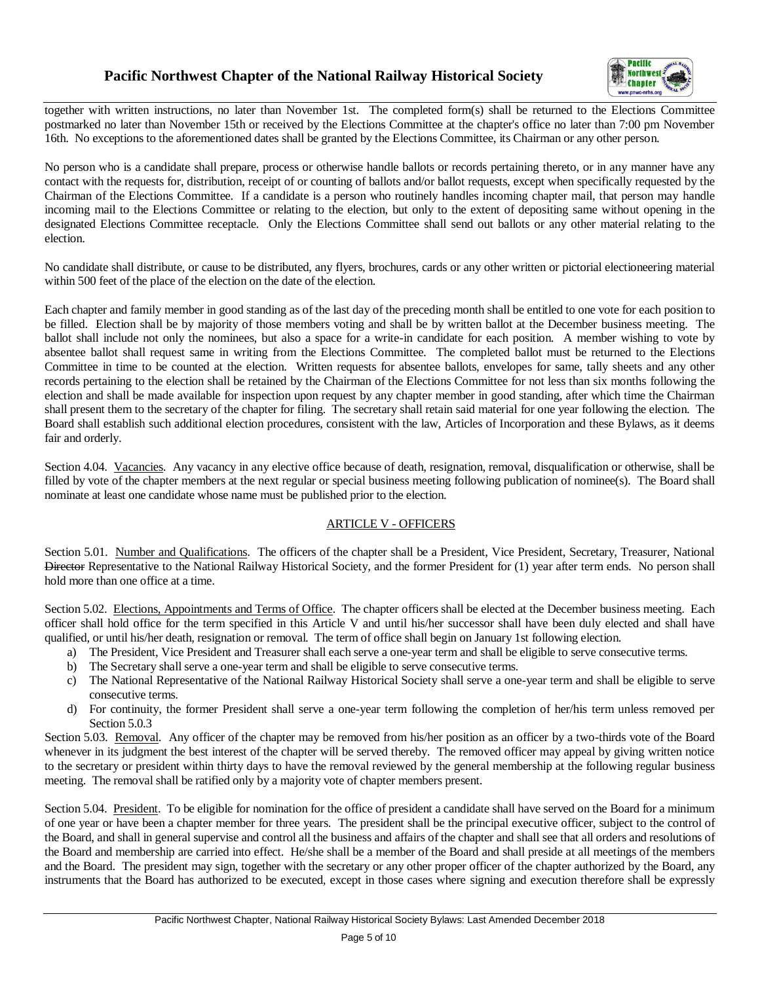

together with written instructions, no later than November 1st. The completed form(s) shall be returned to the Elections Committee postmarked no later than November 15th or received by the Elections Committee at the chapter's office no later than 7:00 pm November 16th. No exceptions to the aforementioned dates shall be granted by the Elections Committee, its Chairman or any other person.

No person who is a candidate shall prepare, process or otherwise handle ballots or records pertaining thereto, or in any manner have any contact with the requests for, distribution, receipt of or counting of ballots and/or ballot requests, except when specifically requested by the Chairman of the Elections Committee. If a candidate is a person who routinely handles incoming chapter mail, that person may handle incoming mail to the Elections Committee or relating to the election, but only to the extent of depositing same without opening in the designated Elections Committee receptacle. Only the Elections Committee shall send out ballots or any other material relating to the election.

No candidate shall distribute, or cause to be distributed, any flyers, brochures, cards or any other written or pictorial electioneering material within 500 feet of the place of the election on the date of the election.

Each chapter and family member in good standing as of the last day of the preceding month shall be entitled to one vote for each position to be filled. Election shall be by majority of those members voting and shall be by written ballot at the December business meeting. The ballot shall include not only the nominees, but also a space for a write-in candidate for each position. A member wishing to vote by absentee ballot shall request same in writing from the Elections Committee. The completed ballot must be returned to the Elections Committee in time to be counted at the election. Written requests for absentee ballots, envelopes for same, tally sheets and any other records pertaining to the election shall be retained by the Chairman of the Elections Committee for not less than six months following the election and shall be made available for inspection upon request by any chapter member in good standing, after which time the Chairman shall present them to the secretary of the chapter for filing. The secretary shall retain said material for one year following the election. The Board shall establish such additional election procedures, consistent with the law, Articles of Incorporation and these Bylaws, as it deems fair and orderly.

Section 4.04. Vacancies. Any vacancy in any elective office because of death, resignation, removal, disqualification or otherwise, shall be filled by vote of the chapter members at the next regular or special business meeting following publication of nominee(s). The Board shall nominate at least one candidate whose name must be published prior to the election.

## ARTICLE V - OFFICERS

Section 5.01. Number and Qualifications. The officers of the chapter shall be a President, Vice President, Secretary, Treasurer, National Director Representative to the National Railway Historical Society, and the former President for (1) year after term ends. No person shall hold more than one office at a time.

Section 5.02. Elections, Appointments and Terms of Office. The chapter officers shall be elected at the December business meeting. Each officer shall hold office for the term specified in this Article V and until his/her successor shall have been duly elected and shall have qualified, or until his/her death, resignation or removal. The term of office shall begin on January 1st following election.

- a) The President, Vice President and Treasurer shall each serve a one-year term and shall be eligible to serve consecutive terms.
- b) The Secretary shall serve a one-year term and shall be eligible to serve consecutive terms.
- c) The National Representative of the National Railway Historical Society shall serve a one-year term and shall be eligible to serve consecutive terms.
- d) For continuity, the former President shall serve a one-year term following the completion of her/his term unless removed per Section 5.0.3

Section 5.03. Removal. Any officer of the chapter may be removed from his/her position as an officer by a two-thirds vote of the Board whenever in its judgment the best interest of the chapter will be served thereby. The removed officer may appeal by giving written notice to the secretary or president within thirty days to have the removal reviewed by the general membership at the following regular business meeting. The removal shall be ratified only by a majority vote of chapter members present.

Section 5.04. President. To be eligible for nomination for the office of president a candidate shall have served on the Board for a minimum of one year or have been a chapter member for three years. The president shall be the principal executive officer, subject to the control of the Board, and shall in general supervise and control all the business and affairs of the chapter and shall see that all orders and resolutions of the Board and membership are carried into effect. He/she shall be a member of the Board and shall preside at all meetings of the members and the Board. The president may sign, together with the secretary or any other proper officer of the chapter authorized by the Board, any instruments that the Board has authorized to be executed, except in those cases where signing and execution therefore shall be expressly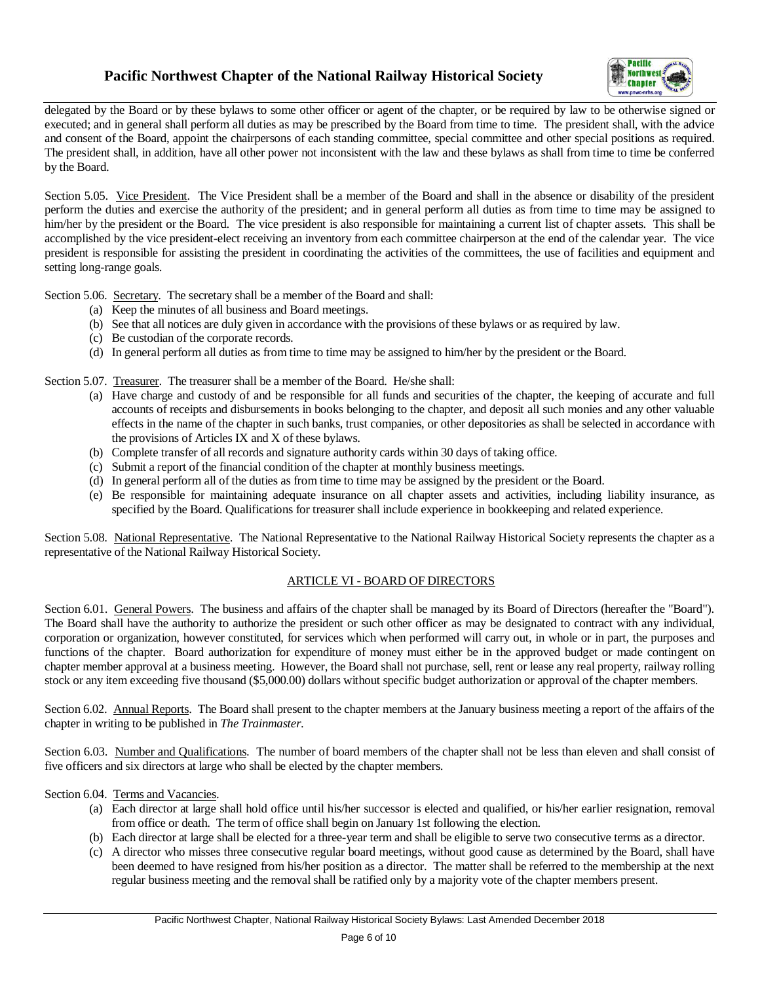

delegated by the Board or by these bylaws to some other officer or agent of the chapter, or be required by law to be otherwise signed or executed; and in general shall perform all duties as may be prescribed by the Board from time to time. The president shall, with the advice and consent of the Board, appoint the chairpersons of each standing committee, special committee and other special positions as required. The president shall, in addition, have all other power not inconsistent with the law and these bylaws as shall from time to time be conferred by the Board.

Section 5.05. Vice President. The Vice President shall be a member of the Board and shall in the absence or disability of the president perform the duties and exercise the authority of the president; and in general perform all duties as from time to time may be assigned to him/her by the president or the Board. The vice president is also responsible for maintaining a current list of chapter assets. This shall be accomplished by the vice president-elect receiving an inventory from each committee chairperson at the end of the calendar year. The vice president is responsible for assisting the president in coordinating the activities of the committees, the use of facilities and equipment and setting long-range goals.

Section 5.06. Secretary. The secretary shall be a member of the Board and shall:

- (a) Keep the minutes of all business and Board meetings.
- (b) See that all notices are duly given in accordance with the provisions of these bylaws or as required by law.
- (c) Be custodian of the corporate records.
- (d) In general perform all duties as from time to time may be assigned to him/her by the president or the Board.

Section 5.07. Treasurer. The treasurer shall be a member of the Board. He/she shall:

- (a) Have charge and custody of and be responsible for all funds and securities of the chapter, the keeping of accurate and full accounts of receipts and disbursements in books belonging to the chapter, and deposit all such monies and any other valuable effects in the name of the chapter in such banks, trust companies, or other depositories as shall be selected in accordance with the provisions of Articles IX and X of these bylaws.
- (b) Complete transfer of all records and signature authority cards within 30 days of taking office.
- (c) Submit a report of the financial condition of the chapter at monthly business meetings.
- (d) In general perform all of the duties as from time to time may be assigned by the president or the Board.
- (e) Be responsible for maintaining adequate insurance on all chapter assets and activities, including liability insurance, as specified by the Board. Qualifications for treasurer shall include experience in bookkeeping and related experience.

Section 5.08. National Representative. The National Representative to the National Railway Historical Society represents the chapter as a representative of the National Railway Historical Society.

## ARTICLE VI - BOARD OF DIRECTORS

Section 6.01. General Powers. The business and affairs of the chapter shall be managed by its Board of Directors (hereafter the "Board"). The Board shall have the authority to authorize the president or such other officer as may be designated to contract with any individual, corporation or organization, however constituted, for services which when performed will carry out, in whole or in part, the purposes and functions of the chapter. Board authorization for expenditure of money must either be in the approved budget or made contingent on chapter member approval at a business meeting. However, the Board shall not purchase, sell, rent or lease any real property, railway rolling stock or any item exceeding five thousand (\$5,000.00) dollars without specific budget authorization or approval of the chapter members.

Section 6.02. Annual Reports. The Board shall present to the chapter members at the January business meeting a report of the affairs of the chapter in writing to be published in *The Trainmaster*.

Section 6.03. Number and Qualifications. The number of board members of the chapter shall not be less than eleven and shall consist of five officers and six directors at large who shall be elected by the chapter members.

## Section 6.04. Terms and Vacancies.

- (a) Each director at large shall hold office until his/her successor is elected and qualified, or his/her earlier resignation, removal from office or death. The term of office shall begin on January 1st following the election.
- (b) Each director at large shall be elected for a three-year term and shall be eligible to serve two consecutive terms as a director.
- (c) A director who misses three consecutive regular board meetings, without good cause as determined by the Board, shall have been deemed to have resigned from his/her position as a director. The matter shall be referred to the membership at the next regular business meeting and the removal shall be ratified only by a majority vote of the chapter members present.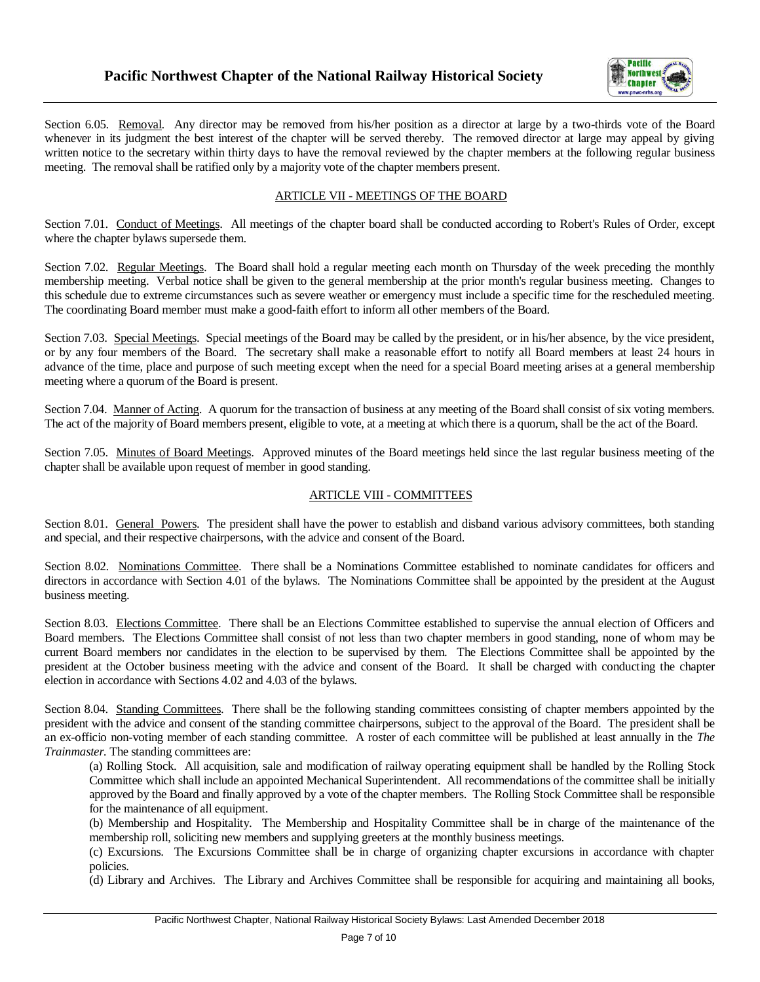

Section 6.05. Removal. Any director may be removed from his/her position as a director at large by a two-thirds vote of the Board whenever in its judgment the best interest of the chapter will be served thereby. The removed director at large may appeal by giving written notice to the secretary within thirty days to have the removal reviewed by the chapter members at the following regular business meeting. The removal shall be ratified only by a majority vote of the chapter members present.

## ARTICLE VII - MEETINGS OF THE BOARD

Section 7.01. Conduct of Meetings. All meetings of the chapter board shall be conducted according to Robert's Rules of Order, except where the chapter bylaws supersede them.

Section 7.02. Regular Meetings. The Board shall hold a regular meeting each month on Thursday of the week preceding the monthly membership meeting. Verbal notice shall be given to the general membership at the prior month's regular business meeting. Changes to this schedule due to extreme circumstances such as severe weather or emergency must include a specific time for the rescheduled meeting. The coordinating Board member must make a good-faith effort to inform all other members of the Board.

Section 7.03. Special Meetings. Special meetings of the Board may be called by the president, or in his/her absence, by the vice president, or by any four members of the Board. The secretary shall make a reasonable effort to notify all Board members at least 24 hours in advance of the time, place and purpose of such meeting except when the need for a special Board meeting arises at a general membership meeting where a quorum of the Board is present.

Section 7.04. Manner of Acting. A quorum for the transaction of business at any meeting of the Board shall consist of six voting members. The act of the majority of Board members present, eligible to vote, at a meeting at which there is a quorum, shall be the act of the Board.

Section 7.05. Minutes of Board Meetings. Approved minutes of the Board meetings held since the last regular business meeting of the chapter shall be available upon request of member in good standing.

## ARTICLE VIII - COMMITTEES

Section 8.01. General Powers. The president shall have the power to establish and disband various advisory committees, both standing and special, and their respective chairpersons, with the advice and consent of the Board.

Section 8.02. Nominations Committee. There shall be a Nominations Committee established to nominate candidates for officers and directors in accordance with Section 4.01 of the bylaws. The Nominations Committee shall be appointed by the president at the August business meeting.

Section 8.03. Elections Committee. There shall be an Elections Committee established to supervise the annual election of Officers and Board members. The Elections Committee shall consist of not less than two chapter members in good standing, none of whom may be current Board members nor candidates in the election to be supervised by them. The Elections Committee shall be appointed by the president at the October business meeting with the advice and consent of the Board. It shall be charged with conducting the chapter election in accordance with Sections 4.02 and 4.03 of the bylaws.

Section 8.04. Standing Committees. There shall be the following standing committees consisting of chapter members appointed by the president with the advice and consent of the standing committee chairpersons, subject to the approval of the Board. The president shall be an ex-officio non-voting member of each standing committee. A roster of each committee will be published at least annually in the *The Trainmaster.* The standing committees are:

(a) Rolling Stock. All acquisition, sale and modification of railway operating equipment shall be handled by the Rolling Stock Committee which shall include an appointed Mechanical Superintendent. All recommendations of the committee shall be initially approved by the Board and finally approved by a vote of the chapter members. The Rolling Stock Committee shall be responsible for the maintenance of all equipment.

(b) Membership and Hospitality. The Membership and Hospitality Committee shall be in charge of the maintenance of the membership roll, soliciting new members and supplying greeters at the monthly business meetings.

(c) Excursions. The Excursions Committee shall be in charge of organizing chapter excursions in accordance with chapter policies.

(d) Library and Archives. The Library and Archives Committee shall be responsible for acquiring and maintaining all books,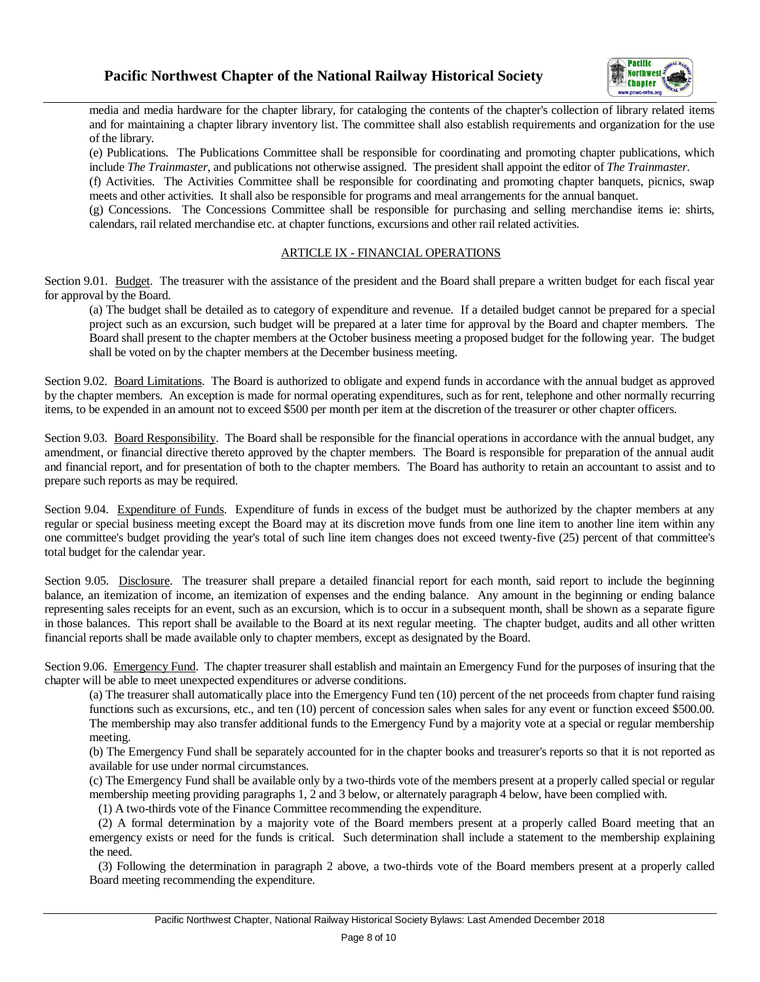

media and media hardware for the chapter library, for cataloging the contents of the chapter's collection of library related items and for maintaining a chapter library inventory list. The committee shall also establish requirements and organization for the use of the library.

(e) Publications. The Publications Committee shall be responsible for coordinating and promoting chapter publications, which include *The Trainmaster*, and publications not otherwise assigned. The president shall appoint the editor of *The Trainmaster*.

(f) Activities. The Activities Committee shall be responsible for coordinating and promoting chapter banquets, picnics, swap meets and other activities. It shall also be responsible for programs and meal arrangements for the annual banquet.

(g) Concessions. The Concessions Committee shall be responsible for purchasing and selling merchandise items ie: shirts, calendars, rail related merchandise etc. at chapter functions, excursions and other rail related activities.

#### ARTICLE IX - FINANCIAL OPERATIONS

Section 9.01. Budget. The treasurer with the assistance of the president and the Board shall prepare a written budget for each fiscal year for approval by the Board.

(a) The budget shall be detailed as to category of expenditure and revenue. If a detailed budget cannot be prepared for a special project such as an excursion, such budget will be prepared at a later time for approval by the Board and chapter members. The Board shall present to the chapter members at the October business meeting a proposed budget for the following year. The budget shall be voted on by the chapter members at the December business meeting.

Section 9.02. Board Limitations. The Board is authorized to obligate and expend funds in accordance with the annual budget as approved by the chapter members. An exception is made for normal operating expenditures, such as for rent, telephone and other normally recurring items, to be expended in an amount not to exceed \$500 per month per item at the discretion of the treasurer or other chapter officers.

Section 9.03. Board Responsibility. The Board shall be responsible for the financial operations in accordance with the annual budget, any amendment, or financial directive thereto approved by the chapter members. The Board is responsible for preparation of the annual audit and financial report, and for presentation of both to the chapter members. The Board has authority to retain an accountant to assist and to prepare such reports as may be required.

Section 9.04. Expenditure of Funds. Expenditure of funds in excess of the budget must be authorized by the chapter members at any regular or special business meeting except the Board may at its discretion move funds from one line item to another line item within any one committee's budget providing the year's total of such line item changes does not exceed twenty-five (25) percent of that committee's total budget for the calendar year.

Section 9.05. Disclosure. The treasurer shall prepare a detailed financial report for each month, said report to include the beginning balance, an itemization of income, an itemization of expenses and the ending balance. Any amount in the beginning or ending balance representing sales receipts for an event, such as an excursion, which is to occur in a subsequent month, shall be shown as a separate figure in those balances. This report shall be available to the Board at its next regular meeting. The chapter budget, audits and all other written financial reports shall be made available only to chapter members, except as designated by the Board.

Section 9.06. Emergency Fund. The chapter treasurer shall establish and maintain an Emergency Fund for the purposes of insuring that the chapter will be able to meet unexpected expenditures or adverse conditions.

(a) The treasurer shall automatically place into the Emergency Fund ten (10) percent of the net proceeds from chapter fund raising functions such as excursions, etc., and ten (10) percent of concession sales when sales for any event or function exceed \$500.00. The membership may also transfer additional funds to the Emergency Fund by a majority vote at a special or regular membership meeting.

(b) The Emergency Fund shall be separately accounted for in the chapter books and treasurer's reports so that it is not reported as available for use under normal circumstances.

(c) The Emergency Fund shall be available only by a two-thirds vote of the members present at a properly called special or regular membership meeting providing paragraphs 1, 2 and 3 below, or alternately paragraph 4 below, have been complied with.

(1) A two-thirds vote of the Finance Committee recommending the expenditure.

 (2) A formal determination by a majority vote of the Board members present at a properly called Board meeting that an emergency exists or need for the funds is critical. Such determination shall include a statement to the membership explaining the need.

 (3) Following the determination in paragraph 2 above, a two-thirds vote of the Board members present at a properly called Board meeting recommending the expenditure.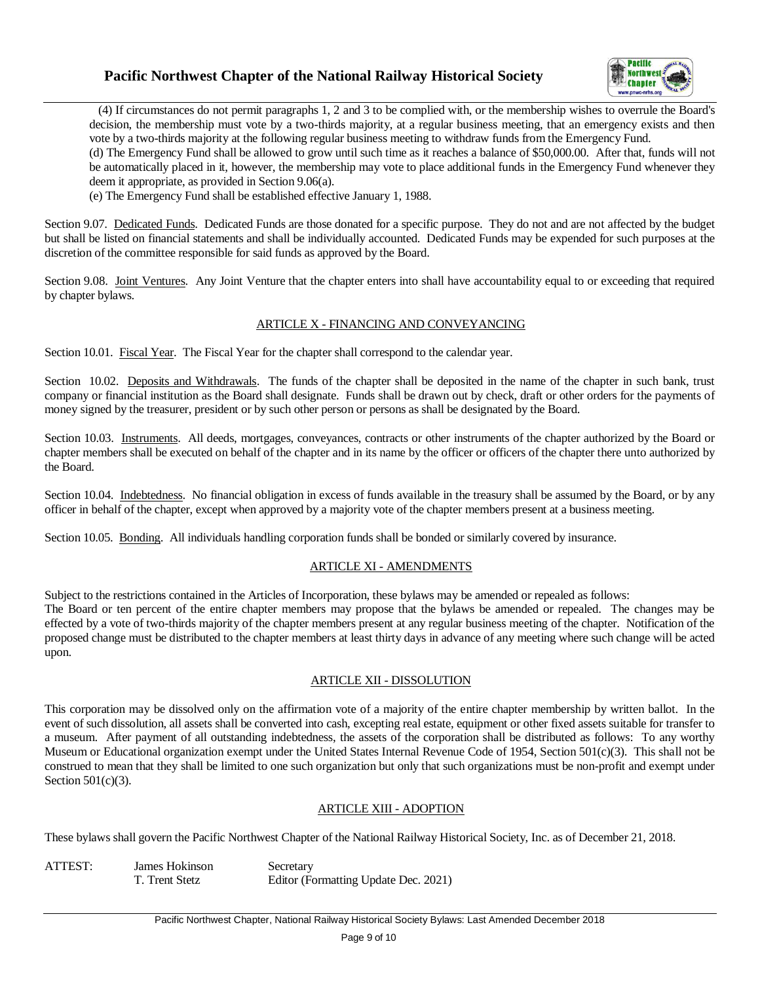

 (4) If circumstances do not permit paragraphs 1, 2 and 3 to be complied with, or the membership wishes to overrule the Board's decision, the membership must vote by a two-thirds majority, at a regular business meeting, that an emergency exists and then vote by a two-thirds majority at the following regular business meeting to withdraw funds from the Emergency Fund.

(d) The Emergency Fund shall be allowed to grow until such time as it reaches a balance of \$50,000.00. After that, funds will not be automatically placed in it, however, the membership may vote to place additional funds in the Emergency Fund whenever they deem it appropriate, as provided in Section 9.06(a).

(e) The Emergency Fund shall be established effective January 1, 1988.

Section 9.07. Dedicated Funds. Dedicated Funds are those donated for a specific purpose. They do not and are not affected by the budget but shall be listed on financial statements and shall be individually accounted. Dedicated Funds may be expended for such purposes at the discretion of the committee responsible for said funds as approved by the Board.

Section 9.08. Joint Ventures. Any Joint Venture that the chapter enters into shall have accountability equal to or exceeding that required by chapter bylaws.

## ARTICLE X - FINANCING AND CONVEYANCING

Section 10.01. Fiscal Year. The Fiscal Year for the chapter shall correspond to the calendar year.

Section 10.02. Deposits and Withdrawals. The funds of the chapter shall be deposited in the name of the chapter in such bank, trust company or financial institution as the Board shall designate. Funds shall be drawn out by check, draft or other orders for the payments of money signed by the treasurer, president or by such other person or persons as shall be designated by the Board.

Section 10.03. Instruments. All deeds, mortgages, conveyances, contracts or other instruments of the chapter authorized by the Board or chapter members shall be executed on behalf of the chapter and in its name by the officer or officers of the chapter there unto authorized by the Board.

Section 10.04. Indebtedness. No financial obligation in excess of funds available in the treasury shall be assumed by the Board, or by any officer in behalf of the chapter, except when approved by a majority vote of the chapter members present at a business meeting.

Section 10.05. Bonding. All individuals handling corporation funds shall be bonded or similarly covered by insurance.

## ARTICLE XI - AMENDMENTS

Subject to the restrictions contained in the Articles of Incorporation, these bylaws may be amended or repealed as follows: The Board or ten percent of the entire chapter members may propose that the bylaws be amended or repealed. The changes may be effected by a vote of two-thirds majority of the chapter members present at any regular business meeting of the chapter. Notification of the proposed change must be distributed to the chapter members at least thirty days in advance of any meeting where such change will be acted upon.

## ARTICLE XII - DISSOLUTION

This corporation may be dissolved only on the affirmation vote of a majority of the entire chapter membership by written ballot. In the event of such dissolution, all assets shall be converted into cash, excepting real estate, equipment or other fixed assets suitable for transfer to a museum. After payment of all outstanding indebtedness, the assets of the corporation shall be distributed as follows: To any worthy Museum or Educational organization exempt under the United States Internal Revenue Code of 1954, Section 501(c)(3). This shall not be construed to mean that they shall be limited to one such organization but only that such organizations must be non-profit and exempt under Section 501(c)(3).

## ARTICLE XIII - ADOPTION

These bylaws shall govern the Pacific Northwest Chapter of the National Railway Historical Society, Inc. as of December 21, 2018.

ATTEST: James Hokinson Secretary

T. Trent Stetz Editor (Formatting Update Dec. 2021)